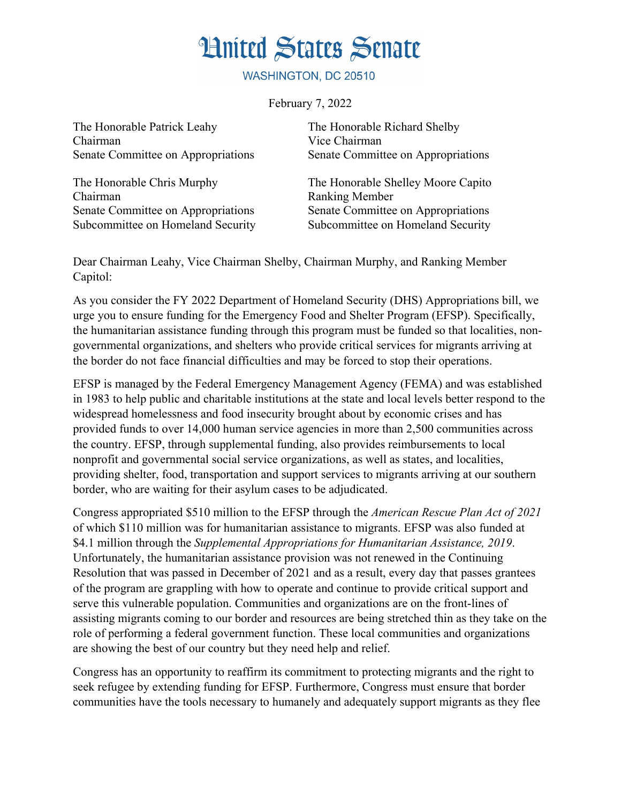## **Hnited States Senate**

WASHINGTON, DC 20510

February 7, 2022

The Honorable Patrick Leahy The Honorable Richard Shelby Chairman Vice Chairman

Chairman Ranking Member Senate Committee on Appropriations Subcommittee on Homeland Security

Senate Committee on Appropriations Senate Committee on Appropriations

The Honorable Chris Murphy The Honorable Shelley Moore Capito Senate Committee on Appropriations Subcommittee on Homeland Security

Dear Chairman Leahy, Vice Chairman Shelby, Chairman Murphy, and Ranking Member Capitol:

As you consider the FY 2022 Department of Homeland Security (DHS) Appropriations bill, we urge you to ensure funding for the Emergency Food and Shelter Program (EFSP). Specifically, the humanitarian assistance funding through this program must be funded so that localities, nongovernmental organizations, and shelters who provide critical services for migrants arriving at the border do not face financial difficulties and may be forced to stop their operations.

EFSP is managed by the Federal Emergency Management Agency (FEMA) and was established in 1983 to help public and charitable institutions at the state and local levels better respond to the widespread homelessness and food insecurity brought about by economic crises and has provided funds to over 14,000 human service agencies in more than 2,500 communities across the country. EFSP, through supplemental funding, also provides reimbursements to local nonprofit and governmental social service organizations, as well as states, and localities, providing shelter, food, transportation and support services to migrants arriving at our southern border, who are waiting for their asylum cases to be adjudicated.

Congress appropriated \$510 million to the EFSP through the *American Rescue Plan Act of 2021* of which \$110 million was for humanitarian assistance to migrants. EFSP was also funded at \$4.1 million through the *Supplemental Appropriations for Humanitarian Assistance, 2019*. Unfortunately, the humanitarian assistance provision was not renewed in the Continuing Resolution that was passed in December of 2021 and as a result, every day that passes grantees of the program are grappling with how to operate and continue to provide critical support and serve this vulnerable population. Communities and organizations are on the front-lines of assisting migrants coming to our border and resources are being stretched thin as they take on the role of performing a federal government function. These local communities and organizations are showing the best of our country but they need help and relief.

Congress has an opportunity to reaffirm its commitment to protecting migrants and the right to seek refugee by extending funding for EFSP. Furthermore, Congress must ensure that border communities have the tools necessary to humanely and adequately support migrants as they flee